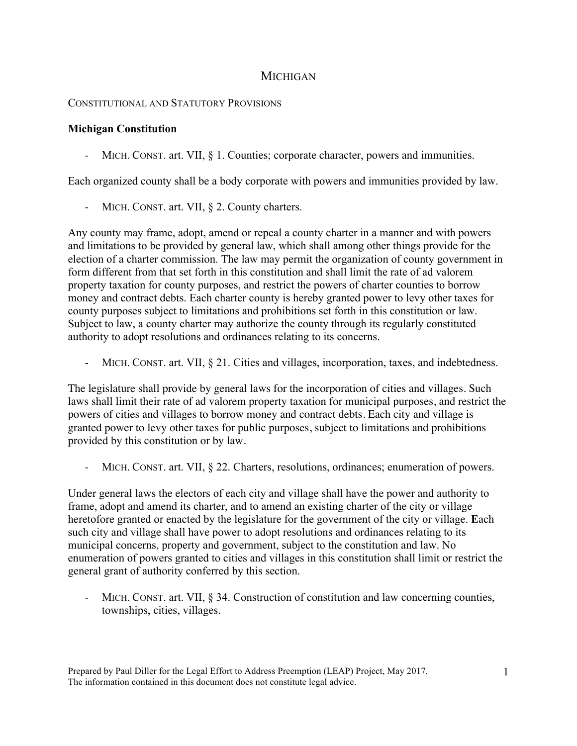## **MICHIGAN**

## CONSTITUTIONAL AND STATUTORY PROVISIONS

## **Michigan Constitution**

MICH. CONST. art. VII, § 1. Counties; corporate character, powers and immunities.

Each organized county shall be a body corporate with powers and immunities provided by law.

MICH. CONST. art. VII, § 2. County charters.

Any county may frame, adopt, amend or repeal a county charter in a manner and with powers and limitations to be provided by general law, which shall among other things provide for the election of a charter commission. The law may permit the organization of county government in form different from that set forth in this constitution and shall limit the rate of ad valorem property taxation for county purposes, and restrict the powers of charter counties to borrow money and contract debts. Each charter county is hereby granted power to levy other taxes for county purposes subject to limitations and prohibitions set forth in this constitution or law. Subject to law, a county charter may authorize the county through its regularly constituted authority to adopt resolutions and ordinances relating to its concerns.

- MICH. CONST. art. VII, § 21. Cities and villages, incorporation, taxes, and indebtedness.

The legislature shall provide by general laws for the incorporation of cities and villages. Such laws shall limit their rate of ad valorem property taxation for municipal purposes, and restrict the powers of cities and villages to borrow money and contract debts. Each city and village is granted power to levy other taxes for public purposes, subject to limitations and prohibitions provided by this constitution or by law.

MICH. CONST. art. VII, § 22. Charters, resolutions, ordinances; enumeration of powers.

Under general laws the electors of each city and village shall have the power and authority to frame, adopt and amend its charter, and to amend an existing charter of the city or village heretofore granted or enacted by the legislature for the government of the city or village. **E**ach such city and village shall have power to adopt resolutions and ordinances relating to its municipal concerns, property and government, subject to the constitution and law. No enumeration of powers granted to cities and villages in this constitution shall limit or restrict the general grant of authority conferred by this section.

 MICH. CONST. art. VII, § 34. Construction of constitution and law concerning counties, townships, cities, villages.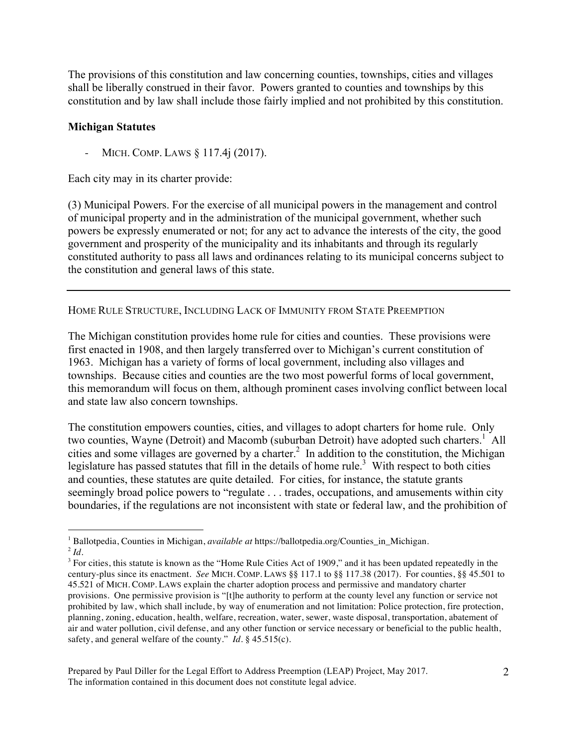The provisions of this constitution and law concerning counties, townships, cities and villages shall be liberally construed in their favor. Powers granted to counties and townships by this constitution and by law shall include those fairly implied and not prohibited by this constitution.

## **Michigan Statutes**

MICH. COMP. LAWS § 117.4j (2017).

Each city may in its charter provide:

(3) Municipal Powers. For the exercise of all municipal powers in the management and control of municipal property and in the administration of the municipal government, whether such powers be expressly enumerated or not; for any act to advance the interests of the city, the good government and prosperity of the municipality and its inhabitants and through its regularly constituted authority to pass all laws and ordinances relating to its municipal concerns subject to the constitution and general laws of this state.

HOME RULE STRUCTURE, INCLUDING LACK OF IMMUNITY FROM STATE PREEMPTION

The Michigan constitution provides home rule for cities and counties. These provisions were first enacted in 1908, and then largely transferred over to Michigan's current constitution of 1963. Michigan has a variety of forms of local government, including also villages and townships. Because cities and counties are the two most powerful forms of local government, this memorandum will focus on them, although prominent cases involving conflict between local and state law also concern townships.

The constitution empowers counties, cities, and villages to adopt charters for home rule. Only two counties, Wayne (Detroit) and Macomb (suburban Detroit) have adopted such charters.<sup>1</sup> All cities and some villages are governed by a charter.<sup>2</sup> In addition to the constitution, the Michigan legislature has passed statutes that fill in the details of home rule.<sup>3</sup> With respect to both cities and counties, these statutes are quite detailed. For cities, for instance, the statute grants seemingly broad police powers to "regulate . . . trades, occupations, and amusements within city boundaries, if the regulations are not inconsistent with state or federal law, and the prohibition of

 $\frac{1}{1}$ <sup>1</sup> Ballotpedia, Counties in Michigan, *available at* https://ballotpedia.org/Counties\_in\_Michigan. <sup>2</sup> *Id.*

 $3$  For cities, this statute is known as the "Home Rule Cities Act of 1909," and it has been updated repeatedly in the century-plus since its enactment. *See* MICH. COMP. LAWS §§ 117.1 to §§ 117.38 (2017). For counties, §§ 45.501 to 45.521 of MICH. COMP. LAWS explain the charter adoption process and permissive and mandatory charter provisions. One permissive provision is "[t]he authority to perform at the county level any function or service not prohibited by law, which shall include, by way of enumeration and not limitation: Police protection, fire protection, planning, zoning, education, health, welfare, recreation, water, sewer, waste disposal, transportation, abatement of air and water pollution, civil defense, and any other function or service necessary or beneficial to the public health, safety, and general welfare of the county." *Id.* § 45.515(c).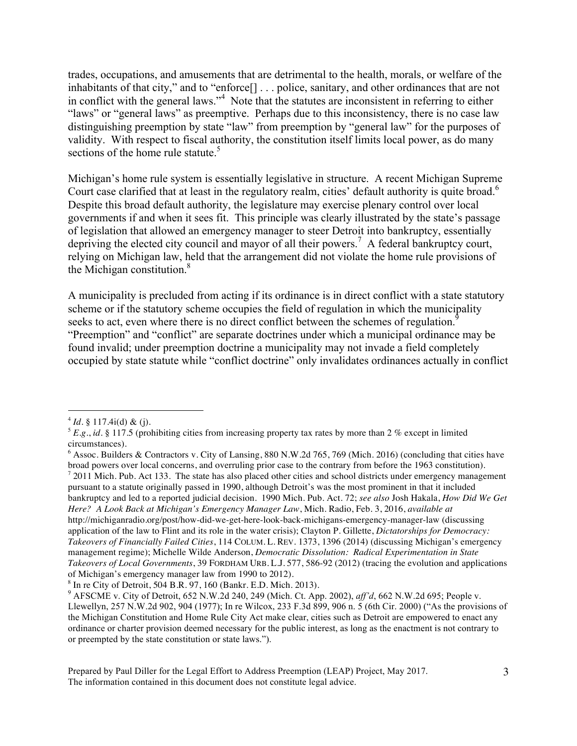trades, occupations, and amusements that are detrimental to the health, morals, or welfare of the inhabitants of that city," and to "enforce[] . . . police, sanitary, and other ordinances that are not in conflict with the general laws."<sup>4</sup> Note that the statutes are inconsistent in referring to either "laws" or "general laws" as preemptive. Perhaps due to this inconsistency, there is no case law distinguishing preemption by state "law" from preemption by "general law" for the purposes of validity. With respect to fiscal authority, the constitution itself limits local power, as do many sections of the home rule statute. $5$ 

Michigan's home rule system is essentially legislative in structure. A recent Michigan Supreme Court case clarified that at least in the regulatory realm, cities' default authority is quite broad.<sup>6</sup> Despite this broad default authority, the legislature may exercise plenary control over local governments if and when it sees fit. This principle was clearly illustrated by the state's passage of legislation that allowed an emergency manager to steer Detroit into bankruptcy, essentially depriving the elected city council and mayor of all their powers. 7 A federal bankruptcy court, relying on Michigan law, held that the arrangement did not violate the home rule provisions of the Michigan constitution.<sup>8</sup>

A municipality is precluded from acting if its ordinance is in direct conflict with a state statutory scheme or if the statutory scheme occupies the field of regulation in which the municipality seeks to act, even where there is no direct conflict between the schemes of regulation.<sup>9</sup> "Preemption" and "conflict" are separate doctrines under which a municipal ordinance may be found invalid; under preemption doctrine a municipality may not invade a field completely occupied by state statute while "conflict doctrine" only invalidates ordinances actually in conflict

<sup>6</sup> Assoc. Builders & Contractors v. City of Lansing, 880 N.W.2d 765, 769 (Mich. 2016) (concluding that cities have broad powers over local concerns, and overruling prior case to the contrary from before the 1963 constitution).  $72011$  Mich. Pub. Act 133. The state has also placed other cities and school districts under emergency management pursuant to a statute originally passed in 1990, although Detroit's was the most prominent in that it included bankruptcy and led to a reported judicial decision. 1990 Mich. Pub. Act. 72; *see also* Josh Hakala, *How Did We Get Here? A Look Back at Michigan's Emergency Manager Law*, Mich. Radio, Feb. 3, 2016, *available at* http://michiganradio.org/post/how-did-we-get-here-look-back-michigans-emergency-manager-law (discussing application of the law to Flint and its role in the water crisis); Clayton P. Gillette, *Dictatorships for Democracy: Takeovers of Financially Failed Cities*, 114 COLUM. L. REV. 1373, 1396 (2014) (discussing Michigan's emergency management regime); Michelle Wilde Anderson, *Democratic Dissolution: Radical Experimentation in State Takeovers of Local Governments*, 39 FORDHAM URB. L.J. 577, 586-92 (2012) (tracing the evolution and applications of Michigan's emergency manager law from 1990 to 2012).

 $4$  *Id.* § 117.4i(d) & (j).

 $5 E.g., id. § 117.5$  (prohibiting cities from increasing property tax rates by more than 2 % except in limited circumstances).

 $8$  In re City of Detroit, 504 B.R. 97, 160 (Bankr. E.D. Mich. 2013).

 $\frac{1}{9}$  AFSCME v. City of Detroit, 652 N.W.2d 240, 249 (Mich. Ct. App. 2002), *aff'd*, 662 N.W.2d 695; People v. Llewellyn, 257 N.W.2d 902, 904 (1977); In re Wilcox, 233 F.3d 899, 906 n. 5 (6th Cir. 2000) ("As the provisions of the Michigan Constitution and Home Rule City Act make clear, cities such as Detroit are empowered to enact any ordinance or charter provision deemed necessary for the public interest, as long as the enactment is not contrary to or preempted by the state constitution or state laws.").